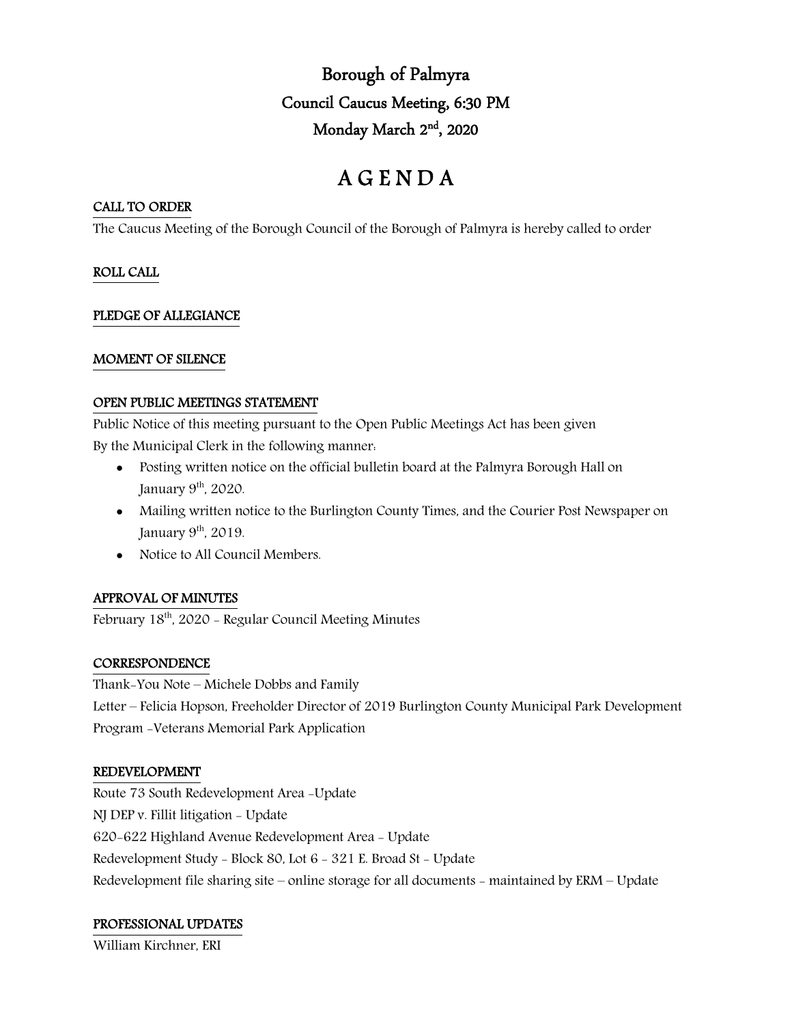Borough of Palmyra Council Caucus Meeting, 6:30 PM Monday March 2nd, 2020

# A G E N D A

### CALL TO ORDER

The Caucus Meeting of the Borough Council of the Borough of Palmyra is hereby called to order

# ROLL CALL

# PLEDGE OF ALLEGIANCE

# MOMENT OF SILENCE

#### OPEN PUBLIC MEETINGS STATEMENT

Public Notice of this meeting pursuant to the Open Public Meetings Act has been given

By the Municipal Clerk in the following manner:

- Posting written notice on the official bulletin board at the Palmyra Borough Hall on January  $9<sup>th</sup>$ , 2020.
- Mailing written notice to the Burlington County Times, and the Courier Post Newspaper on January  $9<sup>th</sup>$ , 2019.
- Notice to All Council Members.

# APPROVAL OF MINUTES

February 18<sup>th</sup>, 2020 - Regular Council Meeting Minutes

# **CORRESPONDENCE**

Thank-You Note – Michele Dobbs and Family Letter – Felicia Hopson, Freeholder Director of 2019 Burlington County Municipal Park Development Program -Veterans Memorial Park Application

# REDEVELOPMENT

Route 73 South Redevelopment Area -Update NJ DEP v. Fillit litigation - Update 620-622 Highland Avenue Redevelopment Area - Update Redevelopment Study - Block 80, Lot 6 - 321 E. Broad St - Update Redevelopment file sharing site – online storage for all documents - maintained by ERM – Update

# PROFESSIONAL UPDATES

William Kirchner, ERI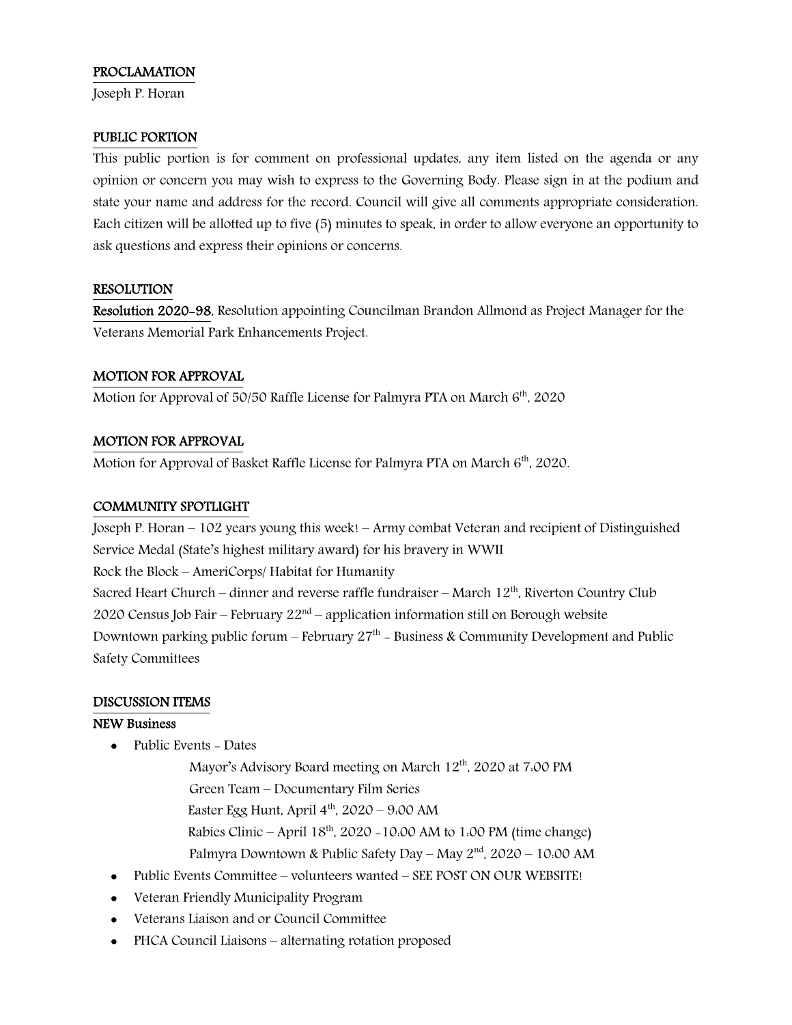# PROCLAMATION

Joseph P. Horan

#### PUBLIC PORTION

This public portion is for comment on professional updates, any item listed on the agenda or any opinion or concern you may wish to express to the Governing Body. Please sign in at the podium and state your name and address for the record. Council will give all comments appropriate consideration. Each citizen will be allotted up to five (5) minutes to speak, in order to allow everyone an opportunity to ask questions and express their opinions or concerns.

#### RESOLUTION

Resolution 2020-98, Resolution appointing Councilman Brandon Allmond as Project Manager for the Veterans Memorial Park Enhancements Project.

#### MOTION FOR APPROVAL

Motion for Approval of 50/50 Raffle License for Palmyra PTA on March 6<sup>th</sup>, 2020

#### MOTION FOR APPROVAL

Motion for Approval of Basket Raffle License for Palmyra PTA on March 6<sup>th</sup>, 2020.

#### COMMUNITY SPOTLIGHT

Joseph P. Horan – 102 years young this week! – Army combat Veteran and recipient of Distinguished Service Medal (State's highest military award) for his bravery in WWII Rock the Block – AmeriCorps/ Habitat for Humanity Sacred Heart Church – dinner and reverse raffle fundraiser – March  $12<sup>th</sup>$ , Riverton Country Club 2020 Census Job Fair – February  $22<sup>nd</sup>$  – application information still on Borough website Downtown parking public forum – February  $27<sup>th</sup>$  – Business & Community Development and Public Safety Committees

#### DISCUSSION ITEMS

#### NEW Business

- Public Events Dates
	- Mayor's Advisory Board meeting on March 12<sup>th</sup>, 2020 at 7:00 PM
	- Green Team Documentary Film Series
	- Easter Egg Hunt, April  $4<sup>th</sup>$ , 2020 9:00 AM
	- Rabies Clinic April  $18^{th}$ , 2020 -10:00 AM to 1:00 PM (time change)
	- Palmyra Downtown & Public Safety Day May 2nd, 2020 10:00 AM
- Public Events Committee volunteers wanted SEE POST ON OUR WEBSITE!
- Veteran Friendly Municipality Program
- Veterans Liaison and or Council Committee
- PHCA Council Liaisons alternating rotation proposed